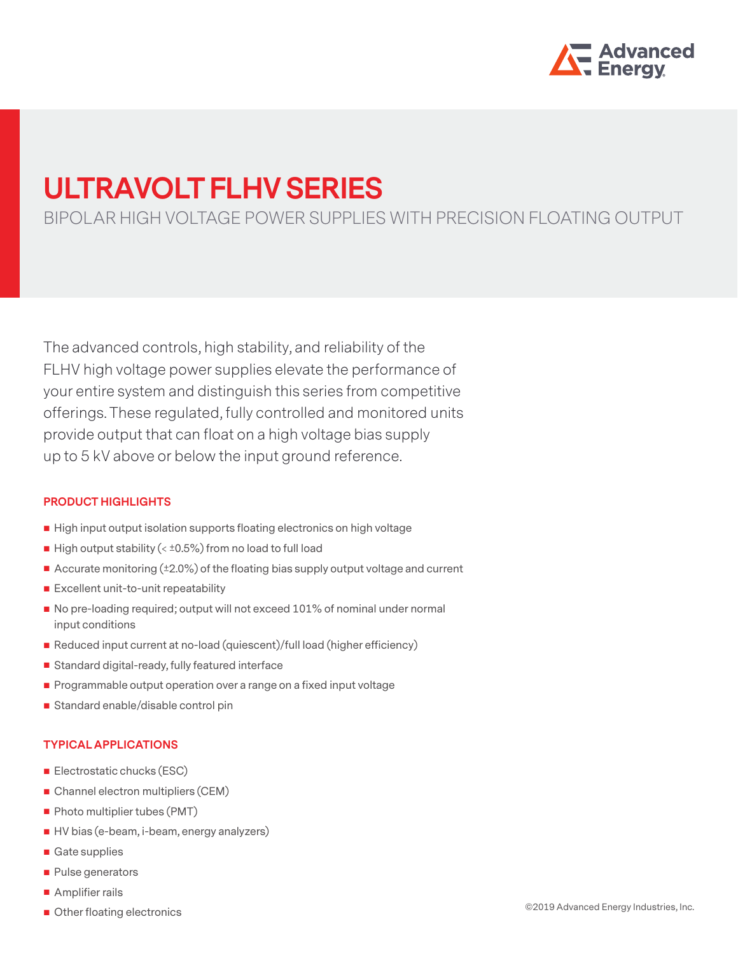

# **ULTRAVOLT FLHV SERIES**

BIPOLAR HIGH VOLTAGE POWER SUPPLIES WITH PRECISION FLOATING OUTPUT

The advanced controls, high stability, and reliability of the FLHV high voltage power supplies elevate the performance of your entire system and distinguish this series from competitive offerings. These regulated, fully controlled and monitored units provide output that can float on a high voltage bias supply up to 5 kV above or below the input ground reference.

#### **PRODUCT HIGHLIGHTS**

- High input output isolation supports floating electronics on high voltage
- $\blacksquare$  High output stability (<  $\pm$ 0.5%) from no load to full load
- Accurate monitoring (±2.0%) of the floating bias supply output voltage and current
- **Excellent unit-to-unit repeatability**
- No pre-loading required; output will not exceed 101% of nominal under normal input conditions
- Reduced input current at no-load (quiescent)/full load (higher efficiency)
- Standard digital-ready, fully featured interface
- Programmable output operation over a range on a fixed input voltage
- Standard enable/disable control pin

#### **TYPICAL APPLICATIONS**

- Electrostatic chucks (ESC)
- Channel electron multipliers (CEM)
- Photo multiplier tubes (PMT)
- HV bias (e-beam, i-beam, energy analyzers)
- Gate supplies
- Pulse generators
- Amplifier rails
- Other floating electronics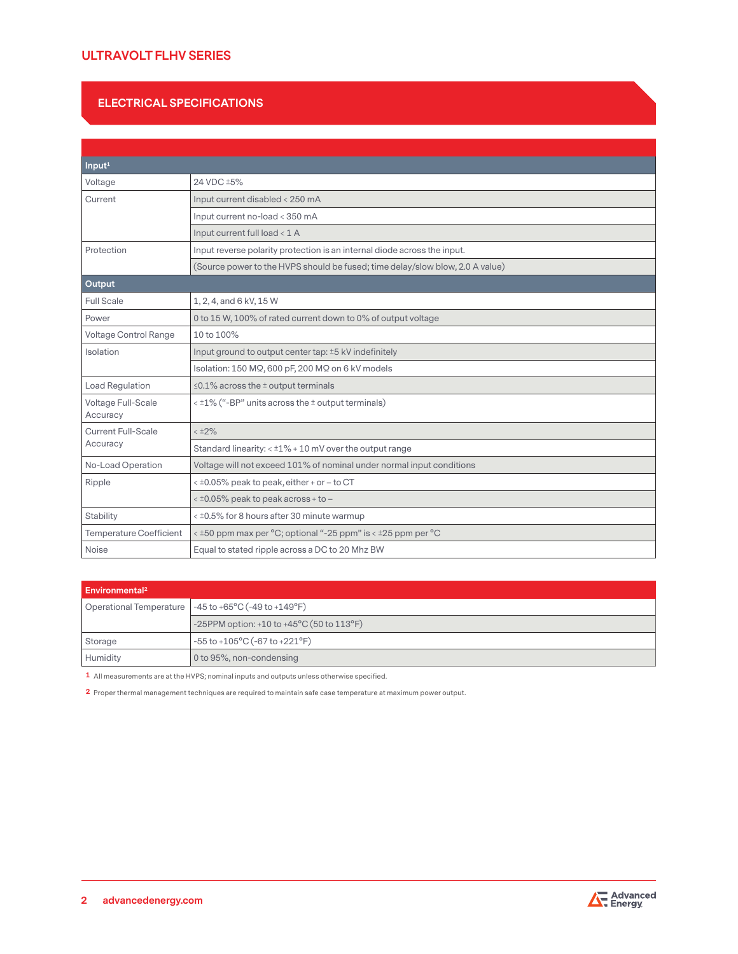# **ULTRAVOLT FLHV SERIES**

#### **ELECTRICAL SPECIFICATIONS**

| Input <sup>1</sup>             |                                                                               |  |  |
|--------------------------------|-------------------------------------------------------------------------------|--|--|
| Voltage                        | 24 VDC ±5%                                                                    |  |  |
| Current                        | Input current disabled < 250 mA                                               |  |  |
|                                | Input current no-load < 350 mA                                                |  |  |
|                                | Input current full load < 1 A                                                 |  |  |
| Protection                     | Input reverse polarity protection is an internal diode across the input.      |  |  |
|                                | (Source power to the HVPS should be fused; time delay/slow blow, 2.0 A value) |  |  |
| Output                         |                                                                               |  |  |
| <b>Full Scale</b>              | 1, 2, 4, and 6 kV, 15 W                                                       |  |  |
| Power                          | 0 to 15 W, 100% of rated current down to 0% of output voltage                 |  |  |
| Voltage Control Range          | 10 to 100%                                                                    |  |  |
| Isolation                      | Input ground to output center tap: ±5 kV indefinitely                         |  |  |
|                                | Isolation: 150 MΩ, 600 pF, 200 MΩ on 6 kV models                              |  |  |
| Load Regulation                | $\leq$ 0.1% across the $\pm$ output terminals                                 |  |  |
| Voltage Full-Scale<br>Accuracy | $\langle 12\%$ ("-BP" units across the $\pm$ output terminals)                |  |  |
| <b>Current Full-Scale</b>      | $< 12\%$                                                                      |  |  |
| Accuracy                       | Standard linearity: < ±1% + 10 mV over the output range                       |  |  |
| No-Load Operation              | Voltage will not exceed 101% of nominal under normal input conditions         |  |  |
| Ripple                         | < ±0.05% peak to peak, either + or - to CT                                    |  |  |
|                                | $\lt$ ±0.05% peak to peak across + to -                                       |  |  |
| Stability                      | < ±0.5% for 8 hours after 30 minute warmup                                    |  |  |
| <b>Temperature Coefficient</b> | $\lt$ ±50 ppm max per °C; optional "-25 ppm" is $\lt$ ±25 ppm per °C          |  |  |
| Noise                          | Equal to stated ripple across a DC to 20 Mhz BW                               |  |  |

| Environmental <sup>2</sup> |                                                              |  |
|----------------------------|--------------------------------------------------------------|--|
|                            | Operational Temperature $\vert$ -45 to +65°C (-49 to +149°F) |  |
|                            | -25PPM option: +10 to +45°C (50 to 113°F)                    |  |
| Storage                    | $-55$ to $+105$ °C (-67 to $+221$ °F)                        |  |
| Humidity                   | 0 to 95%, non-condensing                                     |  |

**1** All measurements are at the HVPS; nominal inputs and outputs unless otherwise specified.

**2** Proper thermal management techniques are required to maintain safe case temperature at maximum power output.

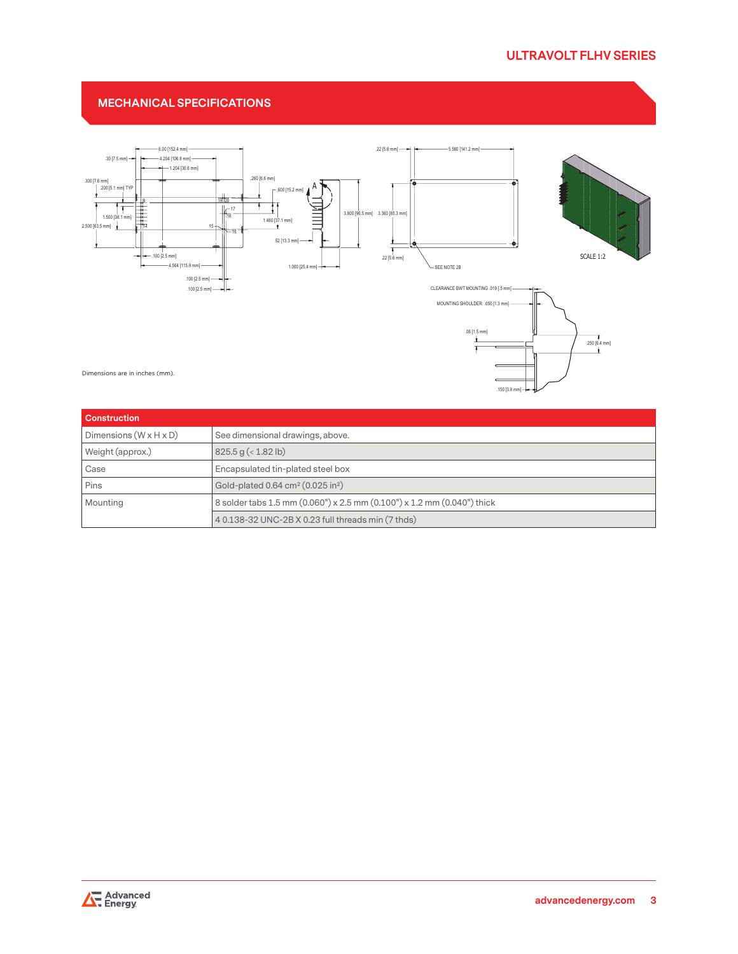.150 [3.8 mm]  $\overline{\phantom{a}}$ 

### **MECHANICAL SPECIFICATIONS**



Dimensions are in inches (mm).

| <b>Construction</b>                |                                                                         |  |
|------------------------------------|-------------------------------------------------------------------------|--|
| Dimensions $(W \times H \times D)$ | See dimensional drawings, above.                                        |  |
| Weight (approx.)                   | 825.5 g (< 1.82 lb)                                                     |  |
| Case                               | Encapsulated tin-plated steel box                                       |  |
| Pins                               | Gold-plated 0.64 cm <sup>2</sup> (0.025 in <sup>2</sup> )               |  |
| Mounting                           | 8 solder tabs 1.5 mm (0.060") x 2.5 mm (0.100") x 1.2 mm (0.040") thick |  |
|                                    | 4 0.138-32 UNC-2B X 0.23 full threads min (7 thds)                      |  |

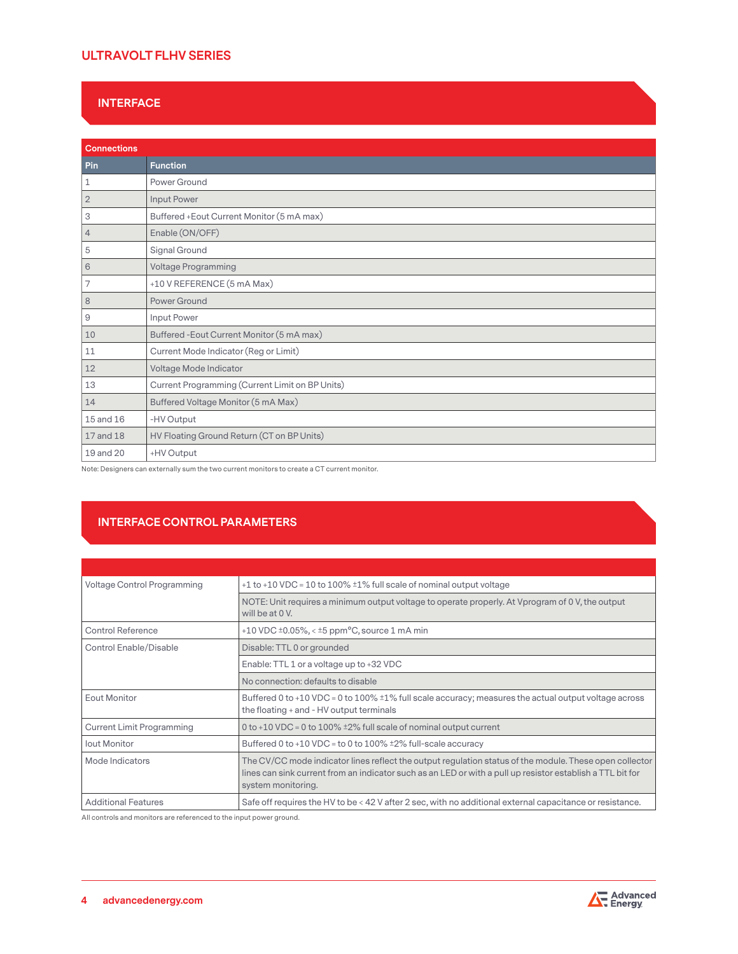# **ULTRAVOLT FLHV SERIES**

### **INTERFACE**

| <b>Connections</b> |                                                 |  |
|--------------------|-------------------------------------------------|--|
| Pin                | <b>Function</b>                                 |  |
| 1                  | Power Ground                                    |  |
| $\overline{2}$     | Input Power                                     |  |
| 3                  | Buffered + Eout Current Monitor (5 mA max)      |  |
| $\overline{4}$     | Enable (ON/OFF)                                 |  |
| 5                  | Signal Ground                                   |  |
| 6                  | <b>Voltage Programming</b>                      |  |
| 7                  | +10 V REFERENCE (5 mA Max)                      |  |
| 8                  | Power Ground                                    |  |
| $\overline{9}$     | Input Power                                     |  |
| 10                 | Buffered - Eout Current Monitor (5 mA max)      |  |
| 11                 | Current Mode Indicator (Reg or Limit)           |  |
| 12                 | Voltage Mode Indicator                          |  |
| 13                 | Current Programming (Current Limit on BP Units) |  |
| 14                 | Buffered Voltage Monitor (5 mA Max)             |  |
| 15 and 16          | -HV Output                                      |  |
| 17 and 18          | HV Floating Ground Return (CT on BP Units)      |  |
| 19 and 20          | +HV Output                                      |  |

Note: Designers can externally sum the two current monitors to create a CT current monitor.

# **INTERFACE CONTROL PARAMETERS**

| Voltage Control Programming      | $+1$ to $+10$ VDC = 10 to 100% $\pm$ 1% full scale of nominal output voltage                                                                                                                                                                |  |  |
|----------------------------------|---------------------------------------------------------------------------------------------------------------------------------------------------------------------------------------------------------------------------------------------|--|--|
|                                  | NOTE: Unit requires a minimum output voltage to operate properly. At Vprogram of 0 V, the output<br>will be at 0 V.                                                                                                                         |  |  |
| Control Reference                | $+10$ VDC $\pm$ 0.05%, < $\pm$ 5 ppm <sup>o</sup> C, source 1 mA min                                                                                                                                                                        |  |  |
| Control Enable/Disable           | Disable: TTL 0 or grounded                                                                                                                                                                                                                  |  |  |
|                                  | Enable: TTL 1 or a voltage up to +32 VDC                                                                                                                                                                                                    |  |  |
|                                  | No connection: defaults to disable                                                                                                                                                                                                          |  |  |
| <b>Eout Monitor</b>              | Buffered 0 to +10 VDC = 0 to 100% ±1% full scale accuracy; measures the actual output voltage across<br>the floating + and - HV output terminals                                                                                            |  |  |
| <b>Current Limit Programming</b> | 0 to +10 VDC = 0 to 100% $\pm$ 2% full scale of nominal output current                                                                                                                                                                      |  |  |
| lout Monitor                     | Buffered 0 to +10 VDC = to 0 to 100% $\pm$ 2% full-scale accuracy                                                                                                                                                                           |  |  |
| Mode Indicators                  | The CV/CC mode indicator lines reflect the output regulation status of the module. These open collector<br>lines can sink current from an indicator such as an LED or with a pull up resistor establish a TTL bit for<br>system monitoring. |  |  |
| <b>Additional Features</b>       | Safe off requires the HV to be < 42 V after 2 sec, with no additional external capacitance or resistance.                                                                                                                                   |  |  |

All controls and monitors are referenced to the input power ground.

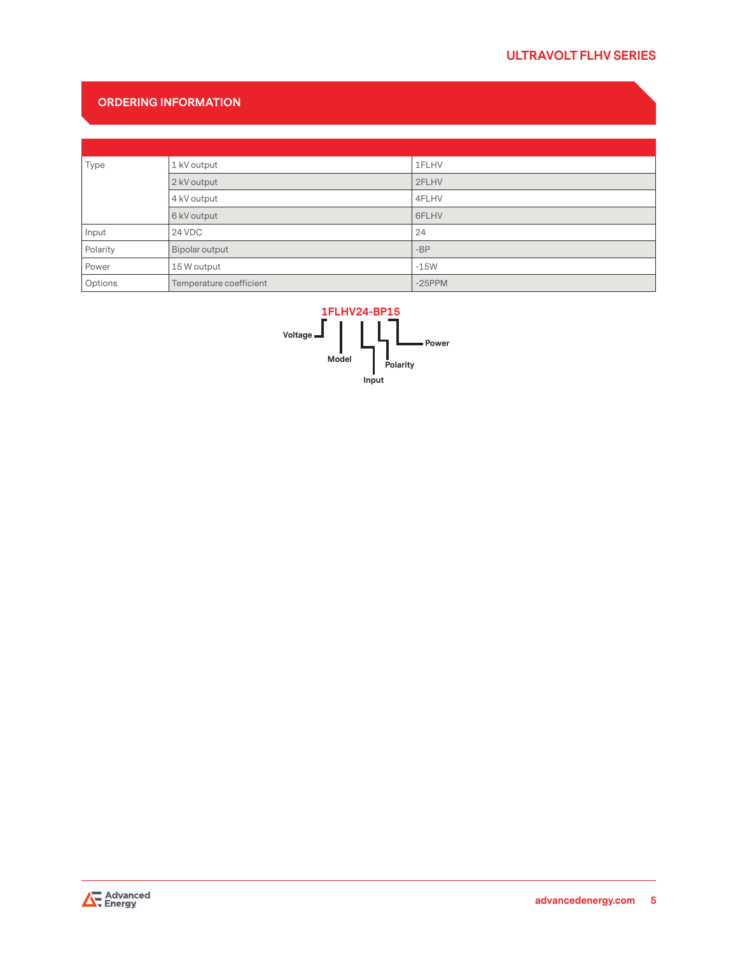# **ORDERING INFORMATION**

| Type     | 1 kV output             | 1FLHV     |
|----------|-------------------------|-----------|
|          | 2 kV output             | 2FLHV     |
|          | 4 kV output             | 4FLHV     |
|          | 6 kV output             | 6FLHV     |
| Input    | 24 VDC                  | 24        |
| Polarity | Bipolar output          | $-BP$     |
| Power    | 15 W output             | $-15W$    |
| Options  | Temperature coefficient | $-25$ PPM |